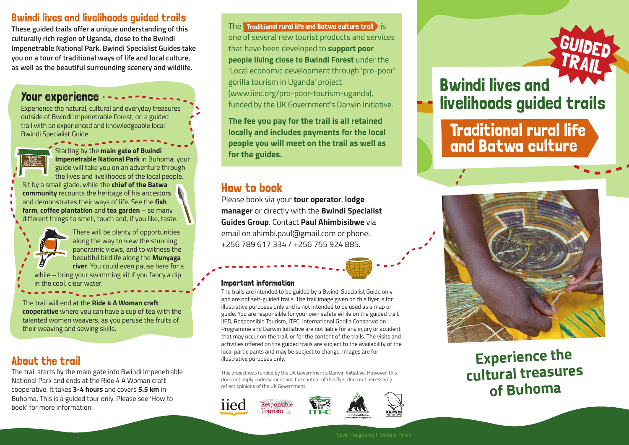### Bwindi lives and livelihoods guided trails

**These guided trails offer a unique understanding of this culturally rich region of Uganda, close to the Bwindi Impenetrable National Park. Bwindi Specialist Guides take you on a tour of traditional ways of life and local culture, as well as the beautiful surrounding scenery and wildlife.**

### Your experience

Experience the natural, cultural and everyday treasures outside of Bwindi Impenetrable Forest, on a guided trail with an experienced and knowledgeable local Bwindi Specialist Guide.



Starting by the **main gate of Bwindi Impenetrable National Park** in Buhoma, your guide will take you on an adventure through the lives and livelihoods of the local people.

Sit by a small glade, while the **chief of the Batwa community** recounts the heritage of his ancestors and demonstrates their ways of life. See the **fish farm**, **coffee plantation** and **tea garden** – so many different things to smell, touch and, if you like, taste.



There will be plenty of opportunities along the way to view the stunning panoramic views, and to witness the beautiful birdlife along the **Munyaga river**. You could even pause here for a while – bring your swimming kit if you fancy a dip

in the cool, clear water.

The trail will end at the **Ride 4 A Woman craft cooperative** where you can have a cup of tea with the talented women weavers, as you peruse the fruits of their weaving and sewing skills.

# About the trail

The trail starts by the main gate into Bwindi Impenetrable National Park and ends at the Ride 4 A Woman craft cooperative. It takes **3-4 hours** and covers **5.5 km** in Buhoma. This is a guided tour only. Please see 'How to book' for more information.

The  $\,$  Traditional rural life and Batwa culture trail  $\,$  is  $\,$ one of several new tourist products and services that have been developed to **support poor people living close to Bwindi Forest** under the 'Local economic development through 'pro-poor' gorilla tourism in Uganda' project (www.iied.org/pro-poor-tourism-uganda), funded by the UK Government's Darwin Initiative.

**The fee you pay for the trail is all retained locally and includes payments for the local people you will meet on the trail as well as for the guides.**

# How to book

Please book via your **tour operator**, **lodge manager** or directly with the **Bwindi Specialist Guides Group**. Contact **Paul Ahimbisibwe** via email on ahimbi.paul@gmail.com or phone: +256 789 617 334 / +256 755 924 885.

#### Important information

The trails are intended to be guided by a Bwindi Specialist Guide only and are not self-guided trails. The trail image given on this flyer is for illustrative purposes only and is not intended to be used as a map or guide. You are responsible for your own safety while on the guided trail. IIED, Responsible Tourism, ITFC, International Gorilla Conservation Programme and Darwin Initiative are not liable for any injury or accident that may occur on the trail, or for the content of the trails. The visits and activities offered on the guided trails are subject to the availability of the local participants and may be subject to change. Images are for illustrative purposes only.

This project was funded by the UK Government's Darwin Initiative. However, this does not imply endorsement and the content of this flyer does not necessarily reflect opinions of the UK Government.







# Bwindi lives and livelihoods guided trails

Traditional rural life and Batwa culture



**Experience the cultural treasures of Buhoma**